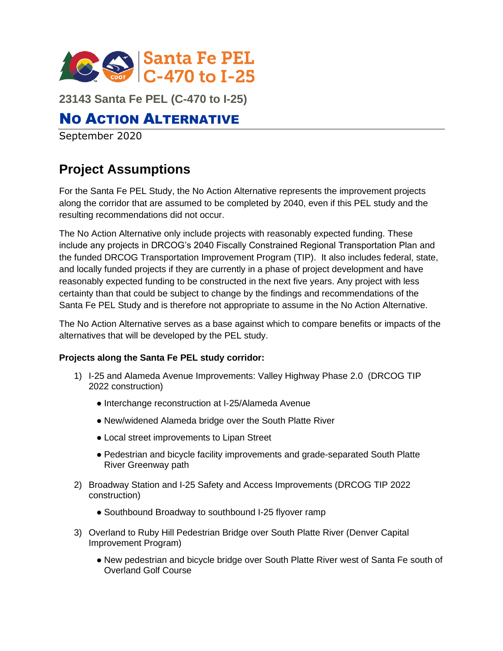

**23143 Santa Fe PEL (C-470 to I-25)**

# NO ACTION ALTERNATIVE

September 2020

# **Project Assumptions**

For the Santa Fe PEL Study, the No Action Alternative represents the improvement projects along the corridor that are assumed to be completed by 2040, even if this PEL study and the resulting recommendations did not occur.

The No Action Alternative only include projects with reasonably expected funding. These include any projects in DRCOG's 2040 Fiscally Constrained Regional Transportation Plan and the funded DRCOG Transportation Improvement Program (TIP). It also includes federal, state, and locally funded projects if they are currently in a phase of project development and have reasonably expected funding to be constructed in the next five years. Any project with less certainty than that could be subject to change by the findings and recommendations of the Santa Fe PEL Study and is therefore not appropriate to assume in the No Action Alternative.

The No Action Alternative serves as a base against which to compare benefits or impacts of the alternatives that will be developed by the PEL study.

### **Projects along the Santa Fe PEL study corridor:**

- 1) I-25 and Alameda Avenue Improvements: Valley Highway Phase 2.0 (DRCOG TIP 2022 construction)
	- Interchange reconstruction at I-25/Alameda Avenue
	- New/widened Alameda bridge over the South Platte River
	- Local street improvements to Lipan Street
	- Pedestrian and bicycle facility improvements and grade-separated South Platte River Greenway path
- 2) Broadway Station and I-25 Safety and Access Improvements (DRCOG TIP 2022 construction)
	- Southbound Broadway to southbound I-25 flyover ramp
- 3) Overland to Ruby Hill Pedestrian Bridge over South Platte River (Denver Capital Improvement Program)
	- New pedestrian and bicycle bridge over South Platte River west of Santa Fe south of Overland Golf Course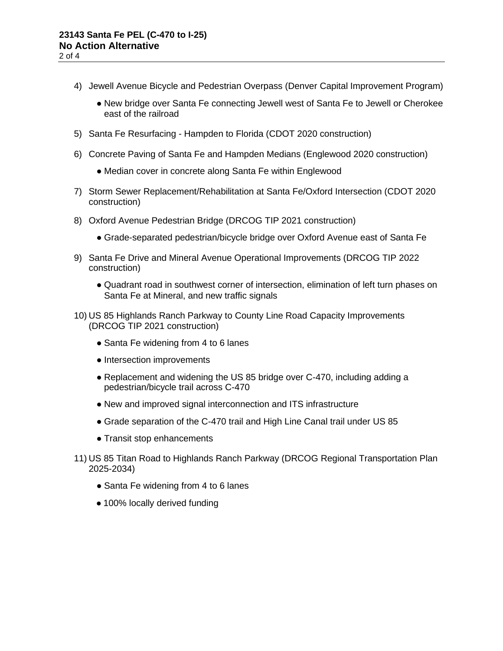- 4) Jewell Avenue Bicycle and Pedestrian Overpass (Denver Capital Improvement Program)
	- New bridge over Santa Fe connecting Jewell west of Santa Fe to Jewell or Cherokee east of the railroad
- 5) Santa Fe Resurfacing Hampden to Florida (CDOT 2020 construction)
- 6) Concrete Paving of Santa Fe and Hampden Medians (Englewood 2020 construction)
	- Median cover in concrete along Santa Fe within Englewood
- 7) Storm Sewer Replacement/Rehabilitation at Santa Fe/Oxford Intersection (CDOT 2020 construction)
- 8) Oxford Avenue Pedestrian Bridge (DRCOG TIP 2021 construction)
	- Grade-separated pedestrian/bicycle bridge over Oxford Avenue east of Santa Fe
- 9) Santa Fe Drive and Mineral Avenue Operational Improvements (DRCOG TIP 2022 construction)
	- Quadrant road in southwest corner of intersection, elimination of left turn phases on Santa Fe at Mineral, and new traffic signals
- 10) US 85 Highlands Ranch Parkway to County Line Road Capacity Improvements (DRCOG TIP 2021 construction)
	- Santa Fe widening from 4 to 6 lanes
	- Intersection improvements
	- Replacement and widening the US 85 bridge over C-470, including adding a pedestrian/bicycle trail across C-470
	- New and improved signal interconnection and ITS infrastructure
	- Grade separation of the C-470 trail and High Line Canal trail under US 85
	- Transit stop enhancements
- 11) US 85 Titan Road to Highlands Ranch Parkway (DRCOG Regional Transportation Plan 2025-2034)
	- Santa Fe widening from 4 to 6 lanes
	- 100% locally derived funding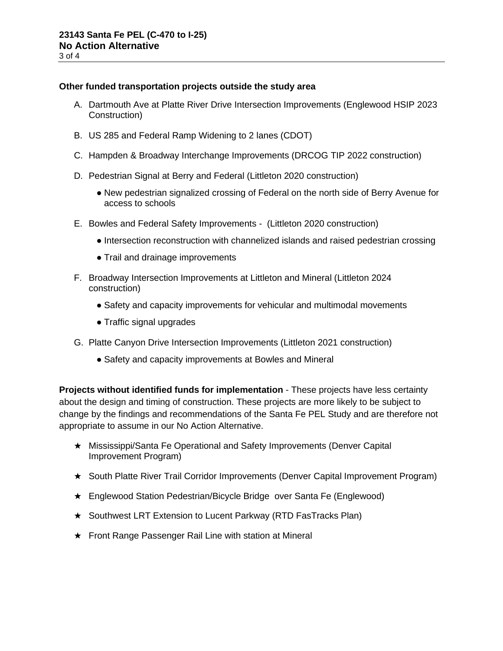#### **Other funded transportation projects outside the study area**

- A. Dartmouth Ave at Platte River Drive Intersection Improvements (Englewood HSIP 2023 Construction)
- B. US 285 and Federal Ramp Widening to 2 lanes (CDOT)
- C. Hampden & Broadway Interchange Improvements (DRCOG TIP 2022 construction)
- D. Pedestrian Signal at Berry and Federal (Littleton 2020 construction)
	- New pedestrian signalized crossing of Federal on the north side of Berry Avenue for access to schools
- E. Bowles and Federal Safety Improvements (Littleton 2020 construction)
	- Intersection reconstruction with channelized islands and raised pedestrian crossing
	- Trail and drainage improvements
- F. Broadway Intersection Improvements at Littleton and Mineral (Littleton 2024 construction)
	- Safety and capacity improvements for vehicular and multimodal movements
	- Traffic signal upgrades
- G. Platte Canyon Drive Intersection Improvements (Littleton 2021 construction)
	- Safety and capacity improvements at Bowles and Mineral

**Projects without identified funds for implementation** - These projects have less certainty about the design and timing of construction. These projects are more likely to be subject to change by the findings and recommendations of the Santa Fe PEL Study and are therefore not appropriate to assume in our No Action Alternative.

- ★ Mississippi/Santa Fe Operational and Safety Improvements (Denver Capital Improvement Program)
- ★ South Platte River Trail Corridor Improvements (Denver Capital Improvement Program)
- ★ Englewood Station Pedestrian/Bicycle Bridge over Santa Fe (Englewood)
- ★ Southwest LRT Extension to Lucent Parkway (RTD FasTracks Plan)
- ★ Front Range Passenger Rail Line with station at Mineral